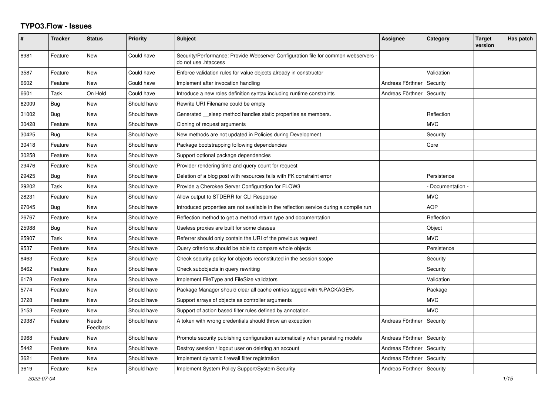## **TYPO3.Flow - Issues**

| #     | <b>Tracker</b> | <b>Status</b>     | Priority    | <b>Subject</b>                                                                                             | Assignee                    | Category          | <b>Target</b><br>version | Has patch |
|-------|----------------|-------------------|-------------|------------------------------------------------------------------------------------------------------------|-----------------------------|-------------------|--------------------------|-----------|
| 8981  | Feature        | <b>New</b>        | Could have  | Security/Performance: Provide Webserver Configuration file for common webservers -<br>do not use .htaccess |                             |                   |                          |           |
| 3587  | Feature        | New               | Could have  | Enforce validation rules for value objects already in constructor                                          |                             | Validation        |                          |           |
| 6602  | Feature        | <b>New</b>        | Could have  | Implement after invocation handling                                                                        | Andreas Förthner            | Security          |                          |           |
| 6601  | Task           | On Hold           | Could have  | Introduce a new roles definition syntax including runtime constraints                                      | Andreas Förthner            | Security          |                          |           |
| 62009 | <b>Bug</b>     | New               | Should have | Rewrite URI Filename could be empty                                                                        |                             |                   |                          |           |
| 31002 | Bug            | <b>New</b>        | Should have | Generated sleep method handles static properties as members.                                               |                             | Reflection        |                          |           |
| 30428 | Feature        | New               | Should have | Cloning of request arguments                                                                               |                             | <b>MVC</b>        |                          |           |
| 30425 | Bug            | <b>New</b>        | Should have | New methods are not updated in Policies during Development                                                 |                             | Security          |                          |           |
| 30418 | Feature        | New               | Should have | Package bootstrapping following dependencies                                                               |                             | Core              |                          |           |
| 30258 | Feature        | New               | Should have | Support optional package dependencies                                                                      |                             |                   |                          |           |
| 29476 | Feature        | <b>New</b>        | Should have | Provider rendering time and query count for request                                                        |                             |                   |                          |           |
| 29425 | Bug            | New               | Should have | Deletion of a blog post with resources fails with FK constraint error                                      |                             | Persistence       |                          |           |
| 29202 | Task           | <b>New</b>        | Should have | Provide a Cherokee Server Configuration for FLOW3                                                          |                             | - Documentation - |                          |           |
| 28231 | Feature        | New               | Should have | Allow output to STDERR for CLI Response                                                                    |                             | <b>MVC</b>        |                          |           |
| 27045 | Bug            | New               | Should have | Introduced properties are not available in the reflection service during a compile run                     |                             | <b>AOP</b>        |                          |           |
| 26767 | Feature        | <b>New</b>        | Should have | Reflection method to get a method return type and documentation                                            |                             | Reflection        |                          |           |
| 25988 | <b>Bug</b>     | <b>New</b>        | Should have | Useless proxies are built for some classes                                                                 |                             | Object            |                          |           |
| 25907 | Task           | New               | Should have | Referrer should only contain the URI of the previous request                                               |                             | <b>MVC</b>        |                          |           |
| 9537  | Feature        | New               | Should have | Query criterions should be able to compare whole objects                                                   |                             | Persistence       |                          |           |
| 8463  | Feature        | <b>New</b>        | Should have | Check security policy for objects reconstituted in the session scope                                       |                             | Security          |                          |           |
| 8462  | Feature        | <b>New</b>        | Should have | Check subobjects in query rewriting                                                                        |                             | Security          |                          |           |
| 6178  | Feature        | New               | Should have | Implement FileType and FileSize validators                                                                 |                             | Validation        |                          |           |
| 5774  | Feature        | <b>New</b>        | Should have | Package Manager should clear all cache entries tagged with %PACKAGE%                                       |                             | Package           |                          |           |
| 3728  | Feature        | <b>New</b>        | Should have | Support arrays of objects as controller arguments                                                          |                             | <b>MVC</b>        |                          |           |
| 3153  | Feature        | <b>New</b>        | Should have | Support of action based filter rules defined by annotation.                                                |                             | <b>MVC</b>        |                          |           |
| 29387 | Feature        | Needs<br>Feedback | Should have | A token with wrong credentials should throw an exception                                                   | Andreas Förthner            | Security          |                          |           |
| 9968  | Feature        | <b>New</b>        | Should have | Promote security publishing configuration automatically when persisting models                             | Andreas Förthner            | Security          |                          |           |
| 5442  | Feature        | New               | Should have | Destroy session / logout user on deleting an account                                                       | Andreas Förthner            | Security          |                          |           |
| 3621  | Feature        | <b>New</b>        | Should have | Implement dynamic firewall filter registration                                                             | Andreas Förthner            | Security          |                          |           |
| 3619  | Feature        | New               | Should have | Implement System Policy Support/System Security                                                            | Andreas Förthner   Security |                   |                          |           |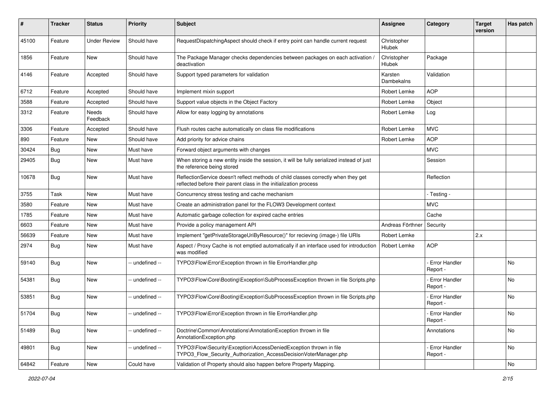| #     | Tracker    | <b>Status</b>       | <b>Priority</b> | <b>Subject</b>                                                                                                                                          | Assignee              | Category                         | <b>Target</b><br>version | Has patch |
|-------|------------|---------------------|-----------------|---------------------------------------------------------------------------------------------------------------------------------------------------------|-----------------------|----------------------------------|--------------------------|-----------|
| 45100 | Feature    | <b>Under Review</b> | Should have     | RequestDispatchingAspect should check if entry point can handle current request                                                                         | Christopher<br>Hlubek |                                  |                          |           |
| 1856  | Feature    | New                 | Should have     | The Package Manager checks dependencies between packages on each activation /<br>deactivation                                                           | Christopher<br>Hlubek | Package                          |                          |           |
| 4146  | Feature    | Accepted            | Should have     | Support typed parameters for validation                                                                                                                 | Karsten<br>Dambekalns | Validation                       |                          |           |
| 6712  | Feature    | Accepted            | Should have     | Implement mixin support                                                                                                                                 | Robert Lemke          | <b>AOP</b>                       |                          |           |
| 3588  | Feature    | Accepted            | Should have     | Support value objects in the Object Factory                                                                                                             | Robert Lemke          | Object                           |                          |           |
| 3312  | Feature    | Needs<br>Feedback   | Should have     | Allow for easy logging by annotations                                                                                                                   | Robert Lemke          | Log                              |                          |           |
| 3306  | Feature    | Accepted            | Should have     | Flush routes cache automatically on class file modifications                                                                                            | Robert Lemke          | <b>MVC</b>                       |                          |           |
| 890   | Feature    | New                 | Should have     | Add priority for advice chains                                                                                                                          | <b>Robert Lemke</b>   | <b>AOP</b>                       |                          |           |
| 30424 | <b>Bug</b> | New                 | Must have       | Forward object arguments with changes                                                                                                                   |                       | <b>MVC</b>                       |                          |           |
| 29405 | <b>Bug</b> | New                 | Must have       | When storing a new entity inside the session, it will be fully serialized instead of just<br>the reference being stored                                 |                       | Session                          |                          |           |
| 10678 | <b>Bug</b> | New                 | Must have       | ReflectionService doesn't reflect methods of child classes correctly when they get<br>reflected before their parent class in the initialization process |                       | Reflection                       |                          |           |
| 3755  | Task       | New                 | Must have       | Concurrency stress testing and cache mechanism                                                                                                          |                       | - Testing -                      |                          |           |
| 3580  | Feature    | New                 | Must have       | Create an administration panel for the FLOW3 Development context                                                                                        |                       | <b>MVC</b>                       |                          |           |
| 1785  | Feature    | New                 | Must have       | Automatic garbage collection for expired cache entries                                                                                                  |                       | Cache                            |                          |           |
| 6603  | Feature    | New                 | Must have       | Provide a policy management API                                                                                                                         | Andreas Förthnei      | Security                         |                          |           |
| 56639 | Feature    | New                 | Must have       | Implement "getPrivateStorageUriByResource()" for recieving (image-) file URIs                                                                           | Robert Lemke          |                                  | 2.x                      |           |
| 2974  | <b>Bug</b> | New                 | Must have       | Aspect / Proxy Cache is not emptied automatically if an interface used for introduction<br>was modified                                                 | Robert Lemke          | <b>AOP</b>                       |                          |           |
| 59140 | <b>Bug</b> | New                 | -- undefined -- | TYPO3\Flow\Error\Exception thrown in file ErrorHandler.php                                                                                              |                       | <b>Error Handler</b><br>Report - |                          | <b>No</b> |
| 54381 | <b>Bug</b> | New                 | -- undefined -- | TYPO3\Flow\Core\Booting\Exception\SubProcessException thrown in file Scripts.php                                                                        |                       | - Error Handler<br>Report -      |                          | No.       |
| 53851 | Bug        | New                 | -- undefined -- | TYPO3\Flow\Core\Booting\Exception\SubProcessException thrown in file Scripts.php                                                                        |                       | - Error Handler<br>Report -      |                          | <b>No</b> |
| 51704 | Bug        | New                 | -- undefined -- | TYPO3\Flow\Error\Exception thrown in file ErrorHandler.php                                                                                              |                       | Error Handler<br>Report -        |                          | No        |
| 51489 | Bug        | New                 | -- undefined -- | Doctrine\Common\Annotations\AnnotationException thrown in file<br>AnnotationException.php                                                               |                       | Annotations                      |                          | No        |
| 49801 | Bug        | New                 | -- undefined -- | TYPO3\Flow\Security\Exception\AccessDeniedException thrown in file<br>TYPO3_Flow_Security_Authorization_AccessDecisionVoterManager.php                  |                       | - Error Handler<br>Report -      |                          | No        |
| 64842 | Feature    | New                 | Could have      | Validation of Property should also happen before Property Mapping.                                                                                      |                       |                                  |                          | No        |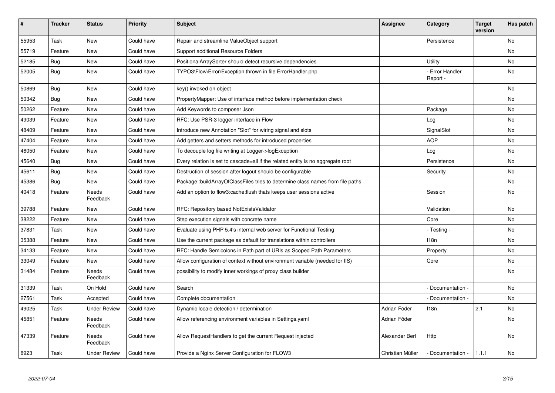| #     | <b>Tracker</b> | <b>Status</b>            | <b>Priority</b> | <b>Subject</b>                                                                  | <b>Assignee</b>  | Category                         | <b>Target</b><br>version | Has patch      |
|-------|----------------|--------------------------|-----------------|---------------------------------------------------------------------------------|------------------|----------------------------------|--------------------------|----------------|
| 55953 | Task           | <b>New</b>               | Could have      | Repair and streamline ValueObject support                                       |                  | Persistence                      |                          | N <sub>o</sub> |
| 55719 | Feature        | New                      | Could have      | Support additional Resource Folders                                             |                  |                                  |                          | No             |
| 52185 | Bug            | New                      | Could have      | PositionalArraySorter should detect recursive dependencies                      |                  | Utility                          |                          | No             |
| 52005 | <b>Bug</b>     | <b>New</b>               | Could have      | TYPO3\Flow\Error\Exception thrown in file ErrorHandler.php                      |                  | <b>Error Handler</b><br>Report - |                          | <b>No</b>      |
| 50869 | Bug            | New                      | Could have      | key() invoked on object                                                         |                  |                                  |                          | No             |
| 50342 | <b>Bug</b>     | <b>New</b>               | Could have      | PropertyMapper: Use of interface method before implementation check             |                  |                                  |                          | No.            |
| 50262 | Feature        | New                      | Could have      | Add Keywords to composer Json                                                   |                  | Package                          |                          | No             |
| 49039 | Feature        | New                      | Could have      | RFC: Use PSR-3 logger interface in Flow                                         |                  | Log                              |                          | No             |
| 48409 | Feature        | <b>New</b>               | Could have      | Introduce new Annotation "Slot" for wiring signal and slots                     |                  | SignalSlot                       |                          | No             |
| 47404 | Feature        | <b>New</b>               | Could have      | Add getters and setters methods for introduced properties                       |                  | <b>AOP</b>                       |                          | No             |
| 46050 | Feature        | New                      | Could have      | To decouple log file writing at Logger->logException                            |                  | Log                              |                          | No             |
| 45640 | Bug            | New                      | Could have      | Every relation is set to cascade=all if the related entity is no aggregate root |                  | Persistence                      |                          | No             |
| 45611 | Bug            | New                      | Could have      | Destruction of session after logout should be configurable                      |                  | Security                         |                          | No             |
| 45386 | Bug            | New                      | Could have      | Package::buildArrayOfClassFiles tries to determine class names from file paths  |                  |                                  |                          | No.            |
| 40418 | Feature        | <b>Needs</b><br>Feedback | Could have      | Add an option to flow3:cache:flush thats keeps user sessions active             |                  | Session                          |                          | No.            |
| 39788 | Feature        | <b>New</b>               | Could have      | RFC: Repository based NotExistsValidator                                        |                  | Validation                       |                          | No.            |
| 38222 | Feature        | <b>New</b>               | Could have      | Step execution signals with concrete name                                       |                  | Core                             |                          | N <sub>o</sub> |
| 37831 | Task           | New                      | Could have      | Evaluate using PHP 5.4's internal web server for Functional Testing             |                  | - Testing -                      |                          | No             |
| 35388 | Feature        | <b>New</b>               | Could have      | Use the current package as default for translations within controllers          |                  | 118n                             |                          | No.            |
| 34133 | Feature        | New                      | Could have      | RFC: Handle Semicolons in Path part of URIs as Scoped Path Parameters           |                  | Property                         |                          | No             |
| 33049 | Feature        | <b>New</b>               | Could have      | Allow configuration of context without environment variable (needed for IIS)    |                  | Core                             |                          | No             |
| 31484 | Feature        | Needs<br>Feedback        | Could have      | possibility to modify inner workings of proxy class builder                     |                  |                                  |                          | No             |
| 31339 | Task           | On Hold                  | Could have      | Search                                                                          |                  | Documentation -                  |                          | No             |
| 27561 | Task           | Accepted                 | Could have      | Complete documentation                                                          |                  | Documentation -                  |                          | No             |
| 49025 | Task           | <b>Under Review</b>      | Could have      | Dynamic locale detection / determination                                        | Adrian Föder     | 118n                             | 2.1                      | N <sub>o</sub> |
| 45851 | Feature        | Needs<br>Feedback        | Could have      | Allow referencing environment variables in Settings yaml                        | Adrian Föder     |                                  |                          | No             |
| 47339 | Feature        | <b>Needs</b><br>Feedback | Could have      | Allow RequestHandlers to get the current Request injected                       | Alexander Berl   | Http                             |                          | <b>No</b>      |
| 8923  | Task           | <b>Under Review</b>      | Could have      | Provide a Nginx Server Configuration for FLOW3                                  | Christian Müller | - Documentation -                | 1.1.1                    | No             |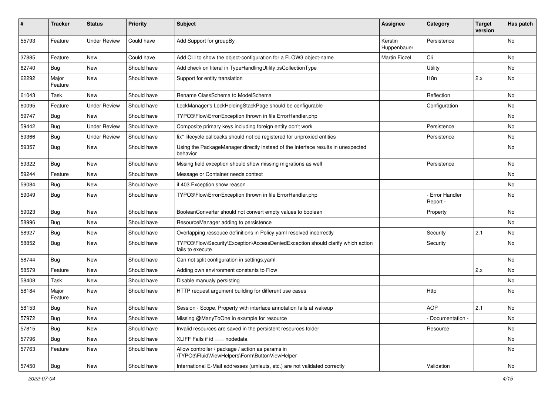| #     | <b>Tracker</b>   | <b>Status</b>       | <b>Priority</b> | <b>Subject</b>                                                                                      | <b>Assignee</b>        | Category                         | <b>Target</b><br>version | Has patch |
|-------|------------------|---------------------|-----------------|-----------------------------------------------------------------------------------------------------|------------------------|----------------------------------|--------------------------|-----------|
| 55793 | Feature          | <b>Under Review</b> | Could have      | Add Support for groupBy                                                                             | Kerstin<br>Huppenbauer | Persistence                      |                          | <b>No</b> |
| 37885 | Feature          | New                 | Could have      | Add CLI to show the object-configuration for a FLOW3 object-name                                    | <b>Martin Ficzel</b>   | Cli                              |                          | No        |
| 62740 | Bug              | <b>New</b>          | Should have     | Add check on literal in TypeHandlingUtility::isCollectionType                                       |                        | Utility                          |                          | No        |
| 62292 | Major<br>Feature | New                 | Should have     | Support for entity translation                                                                      |                        | 118n                             | 2.x                      | No        |
| 61043 | Task             | New                 | Should have     | Rename ClassSchema to ModelSchema                                                                   |                        | Reflection                       |                          | No        |
| 60095 | Feature          | <b>Under Review</b> | Should have     | LockManager's LockHoldingStackPage should be configurable                                           |                        | Configuration                    |                          | No        |
| 59747 | <b>Bug</b>       | New                 | Should have     | TYPO3\Flow\Error\Exception thrown in file ErrorHandler.php                                          |                        |                                  |                          | No        |
| 59442 | <b>Bug</b>       | <b>Under Review</b> | Should have     | Composite primary keys including foreign entity don't work                                          |                        | Persistence                      |                          | No        |
| 59366 | <b>Bug</b>       | <b>Under Review</b> | Should have     | fix* lifecycle callbacks should not be registered for unproxied entities                            |                        | Persistence                      |                          | No        |
| 59357 | <b>Bug</b>       | New                 | Should have     | Using the PackageManager directly instead of the Interface results in unexpected<br>behavior        |                        |                                  |                          | No        |
| 59322 | Bug              | <b>New</b>          | Should have     | Mssing field exception should show missing migrations as well                                       |                        | Persistence                      |                          | <b>No</b> |
| 59244 | Feature          | New                 | Should have     | Message or Container needs context                                                                  |                        |                                  |                          | No        |
| 59084 | Bug              | New                 | Should have     | if 403 Exception show reason                                                                        |                        |                                  |                          | No        |
| 59049 | Bug              | New                 | Should have     | TYPO3\Flow\Error\Exception thrown in file ErrorHandler.php                                          |                        | <b>Error Handler</b><br>Report - |                          | No        |
| 59023 | Bug              | New                 | Should have     | BooleanConverter should not convert empty values to boolean                                         |                        | Property                         |                          | No        |
| 58996 | Bug              | <b>New</b>          | Should have     | ResourceManager adding to persistence                                                               |                        |                                  |                          | No        |
| 58927 | Bug              | New                 | Should have     | Overlapping ressouce definitions in Policy.yaml resolved incorrectly                                |                        | Security                         | 2.1                      | No        |
| 58852 | Bug              | New                 | Should have     | TYPO3\Flow\Security\Exception\AccessDeniedException should clarify which action<br>fails to execute |                        | Security                         |                          | <b>No</b> |
| 58744 | Bug              | <b>New</b>          | Should have     | Can not split configuration in settings.yaml                                                        |                        |                                  |                          | <b>No</b> |
| 58579 | Feature          | New                 | Should have     | Adding own environment constants to Flow                                                            |                        |                                  | 2.x                      | No        |
| 58408 | Task             | New                 | Should have     | Disable manualy persisting                                                                          |                        |                                  |                          | No        |
| 58184 | Major<br>Feature | New                 | Should have     | HTTP request argument building for different use cases                                              |                        | Http                             |                          | No        |
| 58153 | Bug              | New                 | Should have     | Session - Scope, Property with interface annotation fails at wakeup                                 |                        | <b>AOP</b>                       | 2.1                      | No        |
| 57972 | <b>Bug</b>       | New                 | Should have     | Missing @ManyToOne in example for resource                                                          |                        | Documentation -                  |                          | No        |
| 57815 | Bug              | New                 | Should have     | Invalid resources are saved in the persistent resources folder                                      |                        | Resource                         |                          | No        |
| 57796 | Bug              | New                 | Should have     | XLIFF Fails if $id == node data$                                                                    |                        |                                  |                          | No        |
| 57763 | Feature          | New                 | Should have     | Allow controller / package / action as params in<br>\TYPO3\Fluid\ViewHelpers\Form\ButtonViewHelper  |                        |                                  |                          | No        |
| 57450 | Bug              | New                 | Should have     | International E-Mail addresses (umlauts, etc.) are not validated correctly                          |                        | Validation                       |                          | No        |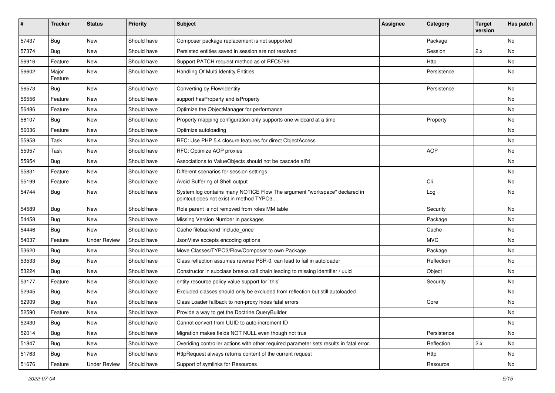| #     | <b>Tracker</b>   | <b>Status</b>       | <b>Priority</b> | <b>Subject</b>                                                                                                       | Assignee | Category    | <b>Target</b><br>version | Has patch |
|-------|------------------|---------------------|-----------------|----------------------------------------------------------------------------------------------------------------------|----------|-------------|--------------------------|-----------|
| 57437 | Bug              | <b>New</b>          | Should have     | Composer package replacement is not supported                                                                        |          | Package     |                          | No        |
| 57374 | Bug              | New                 | Should have     | Persisted entities saved in session are not resolved                                                                 |          | Session     | 2.x                      | No        |
| 56916 | Feature          | New                 | Should have     | Support PATCH request method as of RFC5789                                                                           |          | <b>Http</b> |                          | No        |
| 56602 | Major<br>Feature | New                 | Should have     | Handling Of Multi Identity Entities                                                                                  |          | Persistence |                          | No        |
| 56573 | Bug              | <b>New</b>          | Should have     | Converting by Flow\Identity                                                                                          |          | Persistence |                          | No        |
| 56556 | Feature          | New                 | Should have     | support has Property and is Property                                                                                 |          |             |                          | No        |
| 56486 | Feature          | <b>New</b>          | Should have     | Optimize the ObjectManager for performance                                                                           |          |             |                          | No        |
| 56107 | Bug              | <b>New</b>          | Should have     | Property mapping configuration only supports one wildcard at a time                                                  |          | Property    |                          | No        |
| 56036 | Feature          | New                 | Should have     | Optimize autoloading                                                                                                 |          |             |                          | No        |
| 55958 | Task             | New                 | Should have     | RFC: Use PHP 5.4 closure features for direct ObjectAccess                                                            |          |             |                          | No.       |
| 55957 | Task             | New                 | Should have     | RFC: Optimize AOP proxies                                                                                            |          | <b>AOP</b>  |                          | No        |
| 55954 | Bug              | New                 | Should have     | Associations to ValueObjects should not be cascade all'd                                                             |          |             |                          | No        |
| 55831 | Feature          | <b>New</b>          | Should have     | Different scenarios for session settings                                                                             |          |             |                          | No        |
| 55199 | Feature          | New                 | Should have     | Avoid Buffering of Shell output                                                                                      |          | Cli         |                          | No        |
| 54744 | Bug              | New                 | Should have     | System.log contains many NOTICE Flow The argument "workspace" declared in<br>pointcut does not exist in method TYPO3 |          | Log         |                          | No        |
| 54589 | Bug              | New                 | Should have     | Role parent is not removed from roles MM table                                                                       |          | Security    |                          | No        |
| 54458 | Bug              | New                 | Should have     | Missing Version Number in packages                                                                                   |          | Package     |                          | No.       |
| 54446 | Bug              | New                 | Should have     | Cache filebackend 'include_once'                                                                                     |          | Cache       |                          | No        |
| 54037 | Feature          | <b>Under Review</b> | Should have     | JsonView accepts encoding options                                                                                    |          | <b>MVC</b>  |                          | No        |
| 53620 | Bug              | <b>New</b>          | Should have     | Move Classes/TYPO3/Flow/Composer to own Package                                                                      |          | Package     |                          | No        |
| 53533 | Bug              | New                 | Should have     | Class reflection assumes reverse PSR-0, can lead to fail in autoloader                                               |          | Reflection  |                          | No        |
| 53224 | Bug              | New                 | Should have     | Constructor in subclass breaks call chain leading to missing identifier / uuid                                       |          | Object      |                          | No        |
| 53177 | Feature          | New                 | Should have     | entity resource policy value support for `this`                                                                      |          | Security    |                          | No        |
| 52945 | Bug              | New                 | Should have     | Excluded classes should only be excluded from reflection but still autoloaded                                        |          |             |                          | No        |
| 52909 | Bug              | New                 | Should have     | Class Loader fallback to non-proxy hides fatal errors                                                                |          | Core        |                          | No        |
| 52590 | Feature          | <b>New</b>          | Should have     | Provide a way to get the Doctrine QueryBuilder                                                                       |          |             |                          | No        |
| 52430 | Bug              | New                 | Should have     | Cannot convert from UUID to auto-increment ID                                                                        |          |             |                          | No        |
| 52014 | Bug              | New                 | Should have     | Migration makes fields NOT NULL even though not true                                                                 |          | Persistence |                          | No        |
| 51847 | Bug              | New                 | Should have     | Overiding controller actions with other required parameter sets results in fatal error.                              |          | Reflection  | 2.x                      | No        |
| 51763 | Bug              | New                 | Should have     | HttpRequest always returns content of the current request                                                            |          | Http        |                          | No        |
| 51676 | Feature          | <b>Under Review</b> | Should have     | Support of symlinks for Resources                                                                                    |          | Resource    |                          | No        |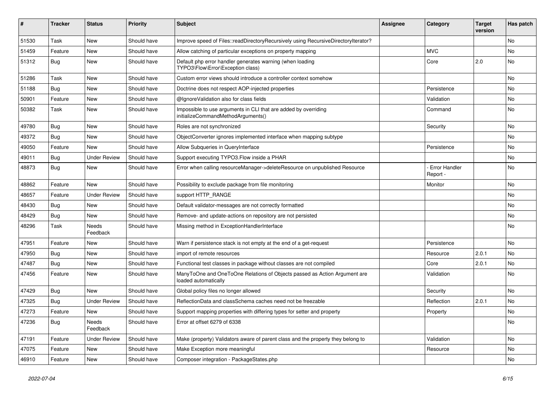| ∦     | <b>Tracker</b> | <b>Status</b>            | <b>Priority</b> | Subject                                                                                               | <b>Assignee</b> | Category                         | <b>Target</b><br>version | Has patch |
|-------|----------------|--------------------------|-----------------|-------------------------------------------------------------------------------------------------------|-----------------|----------------------------------|--------------------------|-----------|
| 51530 | Task           | New                      | Should have     | Improve speed of Files::readDirectoryRecursively using RecursiveDirectoryIterator?                    |                 |                                  |                          | <b>No</b> |
| 51459 | Feature        | <b>New</b>               | Should have     | Allow catching of particular exceptions on property mapping                                           |                 | <b>MVC</b>                       |                          | No        |
| 51312 | <b>Bug</b>     | New                      | Should have     | Default php error handler generates warning (when loading<br>TYPO3\Flow\Error\Exception class)        |                 | Core                             | 2.0                      | No        |
| 51286 | Task           | <b>New</b>               | Should have     | Custom error views should introduce a controller context somehow                                      |                 |                                  |                          | <b>No</b> |
| 51188 | <b>Bug</b>     | <b>New</b>               | Should have     | Doctrine does not respect AOP-injected properties                                                     |                 | Persistence                      |                          | <b>No</b> |
| 50901 | Feature        | New                      | Should have     | @IgnoreValidation also for class fields                                                               |                 | Validation                       |                          | No        |
| 50382 | Task           | New                      | Should have     | Impossible to use arguments in CLI that are added by overriding<br>initializeCommandMethodArguments() |                 | Command                          |                          | <b>No</b> |
| 49780 | Bug            | <b>New</b>               | Should have     | Roles are not synchronized                                                                            |                 | Security                         |                          | <b>No</b> |
| 49372 | <b>Bug</b>     | New                      | Should have     | ObjectConverter ignores implemented interface when mapping subtype                                    |                 |                                  |                          | No        |
| 49050 | Feature        | <b>New</b>               | Should have     | Allow Subqueries in QueryInterface                                                                    |                 | Persistence                      |                          | <b>No</b> |
| 49011 | <b>Bug</b>     | <b>Under Review</b>      | Should have     | Support executing TYPO3. Flow inside a PHAR                                                           |                 |                                  |                          | No        |
| 48873 | <b>Bug</b>     | New                      | Should have     | Error when calling resourceManager->deleteResource on unpublished Resource                            |                 | <b>Error Handler</b><br>Report - |                          | <b>No</b> |
| 48862 | Feature        | New                      | Should have     | Possibility to exclude package from file monitoring                                                   |                 | Monitor                          |                          | <b>No</b> |
| 48657 | Feature        | <b>Under Review</b>      | Should have     | support HTTP_RANGE                                                                                    |                 |                                  |                          | No        |
| 48430 | <b>Bug</b>     | <b>New</b>               | Should have     | Default validator-messages are not correctly formatted                                                |                 |                                  |                          | No        |
| 48429 | <b>Bug</b>     | New                      | Should have     | Remove- and update-actions on repository are not persisted                                            |                 |                                  |                          | No        |
| 48296 | Task           | <b>Needs</b><br>Feedback | Should have     | Missing method in ExceptionHandlerInterface                                                           |                 |                                  |                          | No        |
| 47951 | Feature        | New                      | Should have     | Warn if persistence stack is not empty at the end of a get-request                                    |                 | Persistence                      |                          | No        |
| 47950 | <b>Bug</b>     | New                      | Should have     | import of remote resources                                                                            |                 | Resource                         | 2.0.1                    | No        |
| 47487 | <b>Bug</b>     | New                      | Should have     | Functional test classes in package without classes are not compiled                                   |                 | Core                             | 2.0.1                    | <b>No</b> |
| 47456 | Feature        | New                      | Should have     | ManyToOne and OneToOne Relations of Objects passed as Action Argument are<br>loaded automatically     |                 | Validation                       |                          | No        |
| 47429 | <b>Bug</b>     | New                      | Should have     | Global policy files no longer allowed                                                                 |                 | Security                         |                          | No        |
| 47325 | Bug            | <b>Under Review</b>      | Should have     | ReflectionData and classSchema caches need not be freezable                                           |                 | Reflection                       | 2.0.1                    | <b>No</b> |
| 47273 | Feature        | New                      | Should have     | Support mapping properties with differing types for setter and property                               |                 | Property                         |                          | No        |
| 47236 | <b>Bug</b>     | Needs<br>Feedback        | Should have     | Error at offset 6279 of 6338                                                                          |                 |                                  |                          | No        |
| 47191 | Feature        | <b>Under Review</b>      | Should have     | Make (property) Validators aware of parent class and the property they belong to                      |                 | Validation                       |                          | No        |
| 47075 | Feature        | New                      | Should have     | Make Exception more meaningful                                                                        |                 | Resource                         |                          | No        |
| 46910 | Feature        | New                      | Should have     | Composer integration - PackageStates.php                                                              |                 |                                  |                          | No        |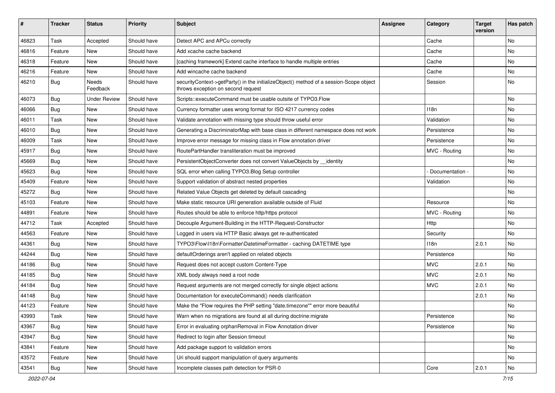| #     | <b>Tracker</b> | <b>Status</b>       | <b>Priority</b> | <b>Subject</b>                                                                                                               | <b>Assignee</b> | Category        | <b>Target</b><br>version | Has patch |
|-------|----------------|---------------------|-----------------|------------------------------------------------------------------------------------------------------------------------------|-----------------|-----------------|--------------------------|-----------|
| 46823 | Task           | Accepted            | Should have     | Detect APC and APCu correctly                                                                                                |                 | Cache           |                          | No        |
| 46816 | Feature        | New                 | Should have     | Add xcache cache backend                                                                                                     |                 | Cache           |                          | No        |
| 46318 | Feature        | New                 | Should have     | [caching framework] Extend cache interface to handle multiple entries                                                        |                 | Cache           |                          | No        |
| 46216 | Feature        | New                 | Should have     | Add wincache cache backend                                                                                                   |                 | Cache           |                          | No        |
| 46210 | <b>Bug</b>     | Needs<br>Feedback   | Should have     | securityContext->getParty() in the initializeObject() method of a session-Scope object<br>throws exception on second request |                 | Session         |                          | No        |
| 46073 | <b>Bug</b>     | <b>Under Review</b> | Should have     | Scripts::executeCommand must be usable outsite of TYPO3.Flow                                                                 |                 |                 |                          | No        |
| 46066 | <b>Bug</b>     | <b>New</b>          | Should have     | Currency formatter uses wrong format for ISO 4217 currency codes                                                             |                 | 118n            |                          | No        |
| 46011 | Task           | New                 | Should have     | Validate annotation with missing type should throw useful error                                                              |                 | Validation      |                          | No        |
| 46010 | <b>Bug</b>     | New                 | Should have     | Generating a DiscriminatorMap with base class in different namespace does not work                                           |                 | Persistence     |                          | No        |
| 46009 | Task           | New                 | Should have     | Improve error message for missing class in Flow annotation driver                                                            |                 | Persistence     |                          | <b>No</b> |
| 45917 | <b>Bug</b>     | New                 | Should have     | RoutePartHandler transliteration must be improved                                                                            |                 | MVC - Routing   |                          | No        |
| 45669 | <b>Bug</b>     | New                 | Should have     | PersistentObjectConverter does not convert ValueObjects by __identity                                                        |                 |                 |                          | No        |
| 45623 | Bug            | New                 | Should have     | SQL error when calling TYPO3. Blog Setup controller                                                                          |                 | Documentation - |                          | No        |
| 45409 | Feature        | New                 | Should have     | Support validation of abstract nested properties                                                                             |                 | Validation      |                          | No        |
| 45272 | <b>Bug</b>     | New                 | Should have     | Related Value Objects get deleted by default cascading                                                                       |                 |                 |                          | No        |
| 45103 | Feature        | New                 | Should have     | Make static resource URI generation available outside of Fluid                                                               |                 | Resource        |                          | No        |
| 44891 | Feature        | New                 | Should have     | Routes should be able to enforce http/https protocol                                                                         |                 | MVC - Routing   |                          | No        |
| 44712 | Task           | Accepted            | Should have     | Decouple Argument-Building in the HTTP-Request-Constructor                                                                   |                 | Http            |                          | <b>No</b> |
| 44563 | Feature        | New                 | Should have     | Logged in users via HTTP Basic always get re-authenticated                                                                   |                 | Security        |                          | No        |
| 44361 | <b>Bug</b>     | New                 | Should have     | TYPO3\Flow\I18n\Formatter\DatetimeFormatter - caching DATETIME type                                                          |                 | 118n            | 2.0.1                    | No        |
| 44244 | Bug            | New                 | Should have     | defaultOrderings aren't applied on related objects                                                                           |                 | Persistence     |                          | No        |
| 44186 | <b>Bug</b>     | New                 | Should have     | Request does not accept custom Content-Type                                                                                  |                 | <b>MVC</b>      | 2.0.1                    | No        |
| 44185 | <b>Bug</b>     | New                 | Should have     | XML body always need a root node                                                                                             |                 | <b>MVC</b>      | 2.0.1                    | <b>No</b> |
| 44184 | <b>Bug</b>     | New                 | Should have     | Request arguments are not merged correctly for single object actions                                                         |                 | <b>MVC</b>      | 2.0.1                    | No        |
| 44148 | Bug            | New                 | Should have     | Documentation for executeCommand() needs clarification                                                                       |                 |                 | 2.0.1                    | No        |
| 44123 | Feature        | New                 | Should have     | Make the "Flow requires the PHP setting "date.timezone"" error more beautiful                                                |                 |                 |                          | No        |
| 43993 | Task           | New                 | Should have     | Warn when no migrations are found at all during doctrine: migrate                                                            |                 | Persistence     |                          | No        |
| 43967 | Bug            | New                 | Should have     | Error in evaluating orphanRemoval in Flow Annotation driver                                                                  |                 | Persistence     |                          | No        |
| 43947 | Bug            | New                 | Should have     | Redirect to login after Session timeout                                                                                      |                 |                 |                          | No        |
| 43841 | Feature        | New                 | Should have     | Add package support to validation errors                                                                                     |                 |                 |                          | No        |
| 43572 | Feature        | New                 | Should have     | Uri should support manipulation of query arguments                                                                           |                 |                 |                          | No        |
| 43541 | Bug            | New                 | Should have     | Incomplete classes path detection for PSR-0                                                                                  |                 | Core            | 2.0.1                    | No        |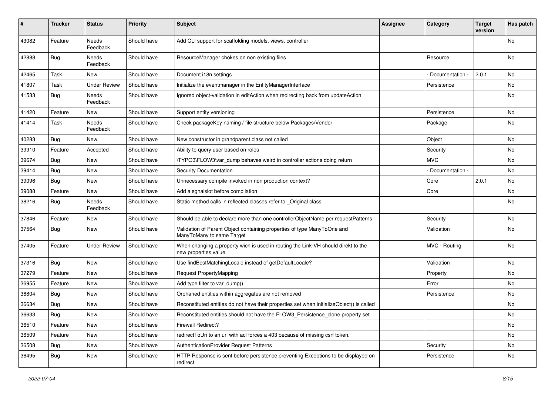| #     | Tracker    | <b>Status</b>       | <b>Priority</b> | <b>Subject</b>                                                                                            | <b>Assignee</b> | Category          | <b>Target</b><br>version | Has patch |
|-------|------------|---------------------|-----------------|-----------------------------------------------------------------------------------------------------------|-----------------|-------------------|--------------------------|-----------|
| 43082 | Feature    | Needs<br>Feedback   | Should have     | Add CLI support for scaffolding models, views, controller                                                 |                 |                   |                          | No.       |
| 42888 | Bug        | Needs<br>Feedback   | Should have     | ResourceManager chokes on non existing files                                                              |                 | Resource          |                          | No        |
| 42465 | Task       | New                 | Should have     | Document i18n settings                                                                                    |                 | Documentation -   | 2.0.1                    | No        |
| 41807 | Task       | <b>Under Review</b> | Should have     | Initialize the eventmanager in the EntityManagerInterface                                                 |                 | Persistence       |                          | No.       |
| 41533 | <b>Bug</b> | Needs<br>Feedback   | Should have     | Ignored object-validation in editAction when redirecting back from updateAction                           |                 |                   |                          | No        |
| 41420 | Feature    | New                 | Should have     | Support entity versioning                                                                                 |                 | Persistence       |                          | No        |
| 41414 | Task       | Needs<br>Feedback   | Should have     | Check packageKey naming / file structure below Packages/Vendor                                            |                 | Package           |                          | No        |
| 40283 | Bug        | New                 | Should have     | New constructor in grandparent class not called                                                           |                 | Object            |                          | No        |
| 39910 | Feature    | Accepted            | Should have     | Ability to query user based on roles                                                                      |                 | Security          |                          | No        |
| 39674 | <b>Bug</b> | New                 | Should have     | \TYPO3\FLOW3\var_dump behaves weird in controller actions doing return                                    |                 | <b>MVC</b>        |                          | No.       |
| 39414 | <b>Bug</b> | New                 | Should have     | Security Documentation                                                                                    |                 | - Documentation - |                          | No        |
| 39096 | Bug        | New                 | Should have     | Unnecessary compile invoked in non production context?                                                    |                 | Core              | 2.0.1                    | No        |
| 39088 | Feature    | New                 | Should have     | Add a sgnalslot before compilation                                                                        |                 | Core              |                          | No        |
| 38216 | <b>Bug</b> | Needs<br>Feedback   | Should have     | Static method calls in reflected classes refer to _Original class                                         |                 |                   |                          | No        |
| 37846 | Feature    | New                 | Should have     | Should be able to declare more than one controllerObjectName per requestPatterns                          |                 | Security          |                          | No        |
| 37564 | <b>Bug</b> | New                 | Should have     | Validation of Parent Object containing properties of type ManyToOne and<br>ManyToMany to same Target      |                 | Validation        |                          | No        |
| 37405 | Feature    | <b>Under Review</b> | Should have     | When changing a property wich is used in routing the Link-VH should direkt to the<br>new properties value |                 | MVC - Routing     |                          | No        |
| 37316 | <b>Bug</b> | New                 | Should have     | Use findBestMatchingLocale instead of getDefaultLocale?                                                   |                 | Validation        |                          | No        |
| 37279 | Feature    | New                 | Should have     | Request PropertyMapping                                                                                   |                 | Property          |                          | No        |
| 36955 | Feature    | New                 | Should have     | Add type filter to var_dump()                                                                             |                 | Error             |                          | No        |
| 36804 | <b>Bug</b> | New                 | Should have     | Orphaned entities within aggregates are not removed                                                       |                 | Persistence       |                          | No        |
| 36634 | <b>Bug</b> | New                 | Should have     | Reconstituted entities do not have their properties set when initializeObject() is called                 |                 |                   |                          | No        |
| 36633 | <b>Bug</b> | New                 | Should have     | Reconstituted entities should not have the FLOW3_Persistence_clone property set                           |                 |                   |                          | No        |
| 36510 | Feature    | New                 | Should have     | Firewall Redirect?                                                                                        |                 |                   |                          | No        |
| 36509 | Feature    | New                 | Should have     | redirectToUri to an uri with acl forces a 403 because of missing csrf token.                              |                 |                   |                          | No        |
| 36508 | <b>Bug</b> | New                 | Should have     | AuthenticationProvider Request Patterns                                                                   |                 | Security          |                          | No        |
| 36495 | Bug        | New                 | Should have     | HTTP Response is sent before persistence preventing Exceptions to be displayed on<br>redirect             |                 | Persistence       |                          | No        |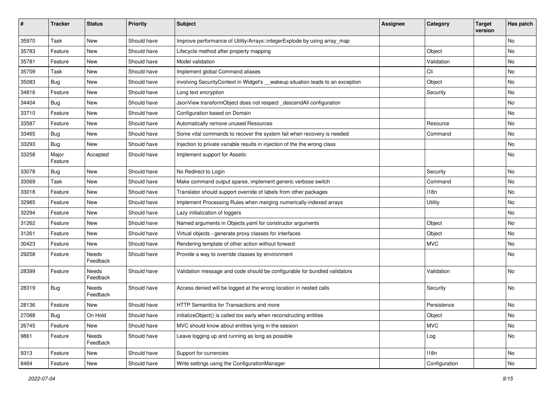| ∦     | <b>Tracker</b>   | <b>Status</b>     | <b>Priority</b> | <b>Subject</b>                                                                  | <b>Assignee</b> | Category      | <b>Target</b><br>version | Has patch |
|-------|------------------|-------------------|-----------------|---------------------------------------------------------------------------------|-----------------|---------------|--------------------------|-----------|
| 35970 | Task             | New               | Should have     | Improve performance of Utility/Arrays::integerExplode by using array_map        |                 |               |                          | No        |
| 35783 | Feature          | New               | Should have     | Lifecycle method after property mapping                                         |                 | Object        |                          | No        |
| 35781 | Feature          | New               | Should have     | Model validation                                                                |                 | Validation    |                          | No        |
| 35709 | Task             | New               | Should have     | Implement global Command aliases                                                |                 | Cli           |                          | No        |
| 35083 | Bug              | New               | Should have     | involving Security Context in Widget's __wakeup situation leads to an exception |                 | Object        |                          | No        |
| 34816 | Feature          | New               | Should have     | Long text encryption                                                            |                 | Security      |                          | <b>No</b> |
| 34404 | <b>Bug</b>       | New               | Should have     | JsonView transformObject does not respect_descendAll configuration              |                 |               |                          | No        |
| 33710 | Feature          | New               | Should have     | Configuration based on Domain                                                   |                 |               |                          | No        |
| 33587 | Feature          | New               | Should have     | Automatically remove unused Resources                                           |                 | Resource      |                          | No        |
| 33465 | <b>Bug</b>       | New               | Should have     | Some vital commands to recover the system fail when recovery is needed          |                 | Command       |                          | No        |
| 33293 | <b>Bug</b>       | New               | Should have     | Injection to private variable results in injection of the the wrong class       |                 |               |                          | No        |
| 33258 | Major<br>Feature | Accepted          | Should have     | Implement support for Assetic                                                   |                 |               |                          | No        |
| 33078 | Bug              | New               | Should have     | No Redirect to Login                                                            |                 | Security      |                          | No        |
| 33069 | Task             | New               | Should have     | Make command output sparse, implement generic verbose switch                    |                 | Command       |                          | No        |
| 33018 | Feature          | New               | Should have     | Translator should support override of labels from other packages                |                 | 118n          |                          | No        |
| 32985 | Feature          | New               | Should have     | Implement Processing Rules when merging numerically-indexed arrays              |                 | Utility       |                          | No        |
| 32294 | Feature          | New               | Should have     | Lazy initialization of loggers                                                  |                 |               |                          | No        |
| 31262 | Feature          | New               | Should have     | Named arguments in Objects.yaml for constructor arguments                       |                 | Object        |                          | <b>No</b> |
| 31261 | Feature          | New               | Should have     | Virtual objects - generate proxy classes for interfaces                         |                 | Object        |                          | No        |
| 30423 | Feature          | New               | Should have     | Rendering template of other action without forward                              |                 | <b>MVC</b>    |                          | No        |
| 29258 | Feature          | Needs<br>Feedback | Should have     | Provide a way to override classes by environment                                |                 |               |                          | No        |
| 28399 | Feature          | Needs<br>Feedback | Should have     | Validation message and code should be configurable for bundled validators       |                 | Validation    |                          | No        |
| 28319 | <b>Bug</b>       | Needs<br>Feedback | Should have     | Access denied will be logged at the wrong location in nested calls              |                 | Security      |                          | No        |
| 28136 | Feature          | New               | Should have     | HTTP Semantics for Transactions and more                                        |                 | Persistence   |                          | No        |
| 27088 | <b>Bug</b>       | On Hold           | Should have     | initializeObject() is called too early when reconstructing entities             |                 | Object        |                          | No.       |
| 26745 | Feature          | New               | Should have     | MVC should know about entities lying in the session                             |                 | <b>MVC</b>    |                          | No        |
| 9861  | Feature          | Needs<br>Feedback | Should have     | Leave logging up and running as long as possible                                |                 | Log           |                          | No        |
| 9313  | Feature          | New               | Should have     | Support for currencies                                                          |                 | 118n          |                          | No        |
| 8464  | Feature          | New               | Should have     | Write settings using the ConfigurationManager                                   |                 | Configuration |                          | No        |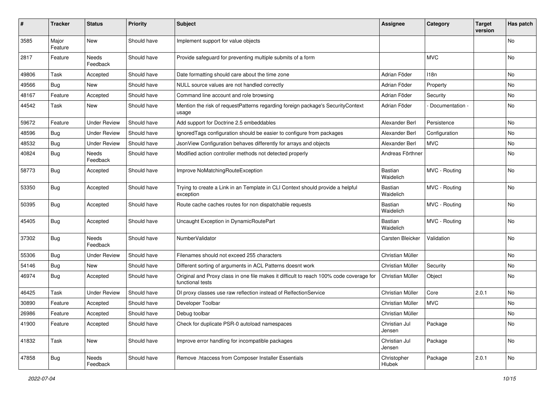| #     | <b>Tracker</b>   | <b>Status</b>       | <b>Priority</b> | <b>Subject</b>                                                                                              | <b>Assignee</b>             | Category        | <b>Target</b><br>version | Has patch |
|-------|------------------|---------------------|-----------------|-------------------------------------------------------------------------------------------------------------|-----------------------------|-----------------|--------------------------|-----------|
| 3585  | Major<br>Feature | New                 | Should have     | Implement support for value objects                                                                         |                             |                 |                          | <b>No</b> |
| 2817  | Feature          | Needs<br>Feedback   | Should have     | Provide safeguard for preventing multiple submits of a form                                                 |                             | <b>MVC</b>      |                          | No        |
| 49806 | Task             | Accepted            | Should have     | Date formatting should care about the time zone                                                             | Adrian Föder                | 118n            |                          | No        |
| 49566 | Bug              | New                 | Should have     | NULL source values are not handled correctly                                                                | Adrian Föder                | Property        |                          | <b>No</b> |
| 48167 | Feature          | Accepted            | Should have     | Command line account and role browsing                                                                      | Adrian Föder                | Security        |                          | No        |
| 44542 | Task             | New                 | Should have     | Mention the risk of requestPatterns regarding foreign package's SecurityContext<br>usage                    | Adrian Föder                | Documentation - |                          | No        |
| 59672 | Feature          | <b>Under Review</b> | Should have     | Add support for Doctrine 2.5 embeddables                                                                    | Alexander Berl              | Persistence     |                          | No        |
| 48596 | Bug              | <b>Under Review</b> | Should have     | IgnoredTags configuration should be easier to configure from packages                                       | Alexander Berl              | Configuration   |                          | No        |
| 48532 | <b>Bug</b>       | <b>Under Review</b> | Should have     | JsonView Configuration behaves differently for arrays and objects                                           | Alexander Berl              | <b>MVC</b>      |                          | No        |
| 40824 | <b>Bug</b>       | Needs<br>Feedback   | Should have     | Modified action controller methods not detected properly                                                    | Andreas Förthner            |                 |                          | No        |
| 58773 | Bug              | Accepted            | Should have     | Improve NoMatchingRouteException                                                                            | Bastian<br>Waidelich        | MVC - Routing   |                          | No        |
| 53350 | Bug              | Accepted            | Should have     | Trying to create a Link in an Template in CLI Context should provide a helpful<br>exception                 | <b>Bastian</b><br>Waidelich | MVC - Routing   |                          | No        |
| 50395 | Bug              | Accepted            | Should have     | Route cache caches routes for non dispatchable requests                                                     | Bastian<br>Waidelich        | MVC - Routing   |                          | No        |
| 45405 | Bug              | Accepted            | Should have     | Uncaught Exception in DynamicRoutePart                                                                      | Bastian<br>Waidelich        | MVC - Routing   |                          | No        |
| 37302 | Bug              | Needs<br>Feedback   | Should have     | NumberValidator                                                                                             | Carsten Bleicker            | Validation      |                          | No        |
| 55306 | Bug              | <b>Under Review</b> | Should have     | Filenames should not exceed 255 characters                                                                  | Christian Müller            |                 |                          | <b>No</b> |
| 54146 | <b>Bug</b>       | New                 | Should have     | Different sorting of arguments in ACL Patterns doesnt work                                                  | Christian Müller            | Security        |                          | No        |
| 46974 | <b>Bug</b>       | Accepted            | Should have     | Original and Proxy class in one file makes it difficult to reach 100% code coverage for<br>functional tests | Christian Müller            | Object          |                          | No        |
| 46425 | Task             | <b>Under Review</b> | Should have     | DI proxy classes use raw reflection instead of RelfectionService                                            | Christian Müller            | Core            | 2.0.1                    | <b>No</b> |
| 30890 | Feature          | Accepted            | Should have     | Developer Toolbar                                                                                           | Christian Müller            | <b>MVC</b>      |                          | No        |
| 26986 | Feature          | Accepted            | Should have     | Debug toolbar                                                                                               | Christian Müller            |                 |                          | No        |
| 41900 | Feature          | Accepted            | Should have     | Check for duplicate PSR-0 autoload namespaces                                                               | Christian Jul<br>Jensen     | Package         |                          | No        |
| 41832 | Task             | New                 | Should have     | Improve error handling for incompatible packages                                                            | Christian Jul<br>Jensen     | Package         |                          | No        |
| 47858 | <b>Bug</b>       | Needs<br>Feedback   | Should have     | Remove .htaccess from Composer Installer Essentials                                                         | Christopher<br>Hlubek       | Package         | 2.0.1                    | No        |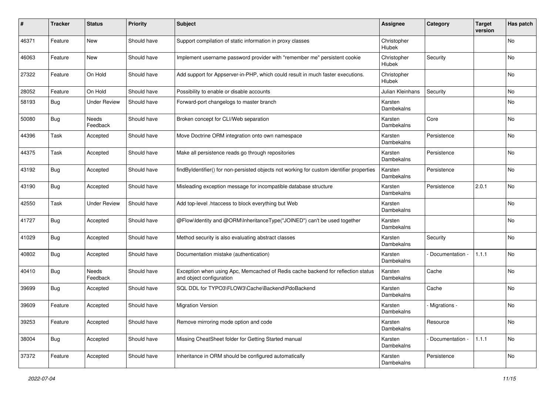| #     | <b>Tracker</b> | <b>Status</b>       | <b>Priority</b> | <b>Subject</b>                                                                                               | <b>Assignee</b>       | Category        | <b>Target</b><br>version | Has patch |
|-------|----------------|---------------------|-----------------|--------------------------------------------------------------------------------------------------------------|-----------------------|-----------------|--------------------------|-----------|
| 46371 | Feature        | New                 | Should have     | Support compilation of static information in proxy classes                                                   | Christopher<br>Hlubek |                 |                          | No        |
| 46063 | Feature        | New                 | Should have     | Implement username password provider with "remember me" persistent cookie                                    | Christopher<br>Hlubek | Security        |                          | No        |
| 27322 | Feature        | On Hold             | Should have     | Add support for Appserver-in-PHP, which could result in much faster executions.                              | Christopher<br>Hlubek |                 |                          | No        |
| 28052 | Feature        | On Hold             | Should have     | Possibility to enable or disable accounts                                                                    | Julian Kleinhans      | Security        |                          | No        |
| 58193 | <b>Bug</b>     | <b>Under Review</b> | Should have     | Forward-port changelogs to master branch                                                                     | Karsten<br>Dambekalns |                 |                          | No        |
| 50080 | Bug            | Needs<br>Feedback   | Should have     | Broken concept for CLI/Web separation                                                                        | Karsten<br>Dambekalns | Core            |                          | No        |
| 44396 | Task           | Accepted            | Should have     | Move Doctrine ORM integration onto own namespace                                                             | Karsten<br>Dambekalns | Persistence     |                          | No        |
| 44375 | Task           | Accepted            | Should have     | Make all persistence reads go through repositories                                                           | Karsten<br>Dambekalns | Persistence     |                          | No        |
| 43192 | Bug            | Accepted            | Should have     | findByIdentifier() for non-persisted objects not working for custom identifier properties                    | Karsten<br>Dambekalns | Persistence     |                          | No        |
| 43190 | Bug            | Accepted            | Should have     | Misleading exception message for incompatible database structure                                             | Karsten<br>Dambekalns | Persistence     | 2.0.1                    | No        |
| 42550 | Task           | <b>Under Review</b> | Should have     | Add top-level .htaccess to block everything but Web                                                          | Karsten<br>Dambekalns |                 |                          | No        |
| 41727 | <b>Bug</b>     | Accepted            | Should have     | @Flow\ldentity and @ORM\InheritanceType("JOINED") can't be used together                                     | Karsten<br>Dambekalns |                 |                          | No        |
| 41029 | <b>Bug</b>     | Accepted            | Should have     | Method security is also evaluating abstract classes                                                          | Karsten<br>Dambekalns | Security        |                          | No        |
| 40802 | Bug            | Accepted            | Should have     | Documentation mistake (authentication)                                                                       | Karsten<br>Dambekalns | Documentation - | 1.1.1                    | No        |
| 40410 | <b>Bug</b>     | Needs<br>Feedback   | Should have     | Exception when using Apc, Memcached of Redis cache backend for reflection status<br>and object configuration | Karsten<br>Dambekalns | Cache           |                          | No        |
| 39699 | Bug            | Accepted            | Should have     | SQL DDL for TYPO3\FLOW3\Cache\Backend\PdoBackend                                                             | Karsten<br>Dambekalns | Cache           |                          | No        |
| 39609 | Feature        | Accepted            | Should have     | <b>Migration Version</b>                                                                                     | Karsten<br>Dambekalns | - Migrations -  |                          | No        |
| 39253 | Feature        | Accepted            | Should have     | Remove mirroring mode option and code                                                                        | Karsten<br>Dambekalns | Resource        |                          | No        |
| 38004 | <b>Bug</b>     | Accepted            | Should have     | Missing CheatSheet folder for Getting Started manual                                                         | Karsten<br>Dambekalns | Documentation - | 1.1.1                    | No        |
| 37372 | Feature        | Accepted            | Should have     | Inheritance in ORM should be configured automatically                                                        | Karsten<br>Dambekalns | Persistence     |                          | No        |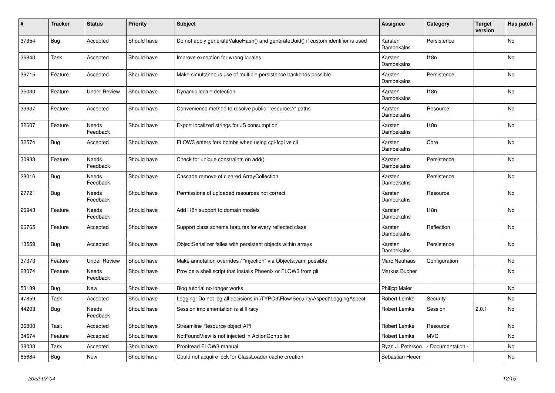| $\sharp$ | <b>Tracker</b> | <b>Status</b>            | <b>Priority</b> | <b>Subject</b>                                                                   | <b>Assignee</b>              | Category         | <b>Target</b><br>version | Has patch |
|----------|----------------|--------------------------|-----------------|----------------------------------------------------------------------------------|------------------------------|------------------|--------------------------|-----------|
| 37354    | <b>Bug</b>     | Accepted                 | Should have     | Do not apply generateValueHash() and generateUuid() if custom identifier is used | Karsten<br>Dambekalns        | Persistence      |                          | <b>No</b> |
| 36840    | Task           | Accepted                 | Should have     | Improve exception for wrong locales                                              | Karsten<br>Dambekalns        | 118n             |                          | No        |
| 36715    | Feature        | Accepted                 | Should have     | Make simultaneous use of multiple persistence backends possible                  | Karsten<br>Dambekalns        | Persistence      |                          | No        |
| 35030    | Feature        | <b>Under Review</b>      | Should have     | Dynamic locale detection                                                         | Karsten<br><b>Dambekalns</b> | 118 <sub>n</sub> |                          | No        |
| 33937    | Feature        | Accepted                 | Should have     | Convenience method to resolve public "resource://" paths                         | Karsten<br>Dambekalns        | Resource         |                          | No        |
| 32607    | Feature        | <b>Needs</b><br>Feedback | Should have     | Export localized strings for JS consumption                                      | Karsten<br>Dambekalns        | 118n             |                          | <b>No</b> |
| 32574    | Bug            | Accepted                 | Should have     | FLOW3 enters fork bombs when using cgi-fcgi vs cli                               | Karsten<br>Dambekalns        | Core             |                          | No        |
| 30933    | Feature        | Needs<br>Feedback        | Should have     | Check for unique constraints on add()                                            | Karsten<br>Dambekalns        | Persistence      |                          | No        |
| 28016    | <b>Bug</b>     | Needs<br>Feedback        | Should have     | Cascade remove of cleared ArrayCollection                                        | Karsten<br>Dambekalns        | Persistence      |                          | No        |
| 27721    | <b>Bug</b>     | Needs<br>Feedback        | Should have     | Permissions of uploaded resources not correct                                    | Karsten<br>Dambekalns        | Resource         |                          | No        |
| 26943    | Feature        | <b>Needs</b><br>Feedback | Should have     | Add i18n support to domain models                                                | Karsten<br>Dambekalns        | 118n             |                          | <b>No</b> |
| 26765    | Feature        | Accepted                 | Should have     | Support class schema features for every reflected class                          | Karsten<br>Dambekalns        | Reflection       |                          | No        |
| 13559    | Bug            | Accepted                 | Should have     | ObjectSerializer failes with persistent objects within arrays                    | Karsten<br>Dambekalns        | Persistence      |                          | No        |
| 37373    | Feature        | <b>Under Review</b>      | Should have     | Make annotation overrides / "injection" via Objects.yaml possible                | Marc Neuhaus                 | Configuration    |                          | No        |
| 28074    | Feature        | Needs<br>Feedback        | Should have     | Provide a shell script that installs Phoenix or FLOW3 from git                   | Markus Bucher                |                  |                          | No        |
| 53189    | <b>Bug</b>     | <b>New</b>               | Should have     | Blog tutorial no longer works                                                    | <b>Philipp Maier</b>         |                  |                          | No        |
| 47859    | Task           | Accepted                 | Should have     | Logging: Do not log all decisions in \TYPO3\Flow\Security\Aspect\LoggingAspect   | Robert Lemke                 | Security         |                          | No        |
| 44203    | <b>Bug</b>     | <b>Needs</b><br>Feedback | Should have     | Session implementation is still racy                                             | Robert Lemke                 | Session          | 2.0.1                    | No.       |
| 36800    | Task           | Accepted                 | Should have     | Streamline Resource object API                                                   | Robert Lemke                 | Resource         |                          | No        |
| 34674    | Feature        | Accepted                 | Should have     | NotFoundView is not injected in ActionController                                 | Robert Lemke                 | <b>MVC</b>       |                          | No.       |
| 38038    | Task           | Accepted                 | Should have     | Proofread FLOW3 manual                                                           | Ryan J. Peterson             | Documentation -  |                          | No        |
| 65684    | <b>Bug</b>     | New                      | Should have     | Could not acquire lock for ClassLoader cache creation                            | Sebastian Heuer              |                  |                          | No        |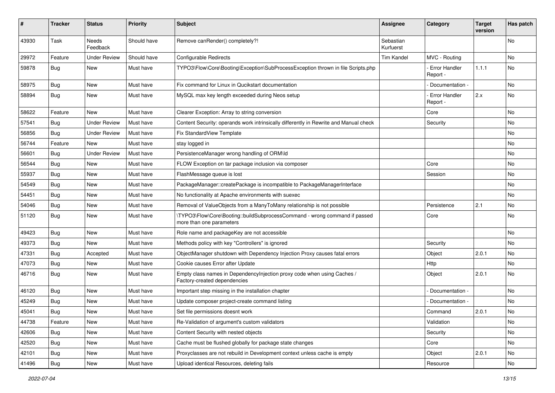| ∦     | <b>Tracker</b> | <b>Status</b>       | <b>Priority</b> | <b>Subject</b>                                                                                          | <b>Assignee</b>        | Category                         | <b>Target</b><br>version | Has patch |
|-------|----------------|---------------------|-----------------|---------------------------------------------------------------------------------------------------------|------------------------|----------------------------------|--------------------------|-----------|
| 43930 | Task           | Needs<br>Feedback   | Should have     | Remove canRender() completely?!                                                                         | Sebastian<br>Kurfuerst |                                  |                          | No        |
| 29972 | Feature        | <b>Under Review</b> | Should have     | <b>Configurable Redirects</b>                                                                           | <b>Tim Kandel</b>      | MVC - Routing                    |                          | <b>No</b> |
| 59878 | Bug            | New                 | Must have       | TYPO3\Flow\Core\Booting\Exception\SubProcessException thrown in file Scripts.php                        |                        | <b>Error Handler</b><br>Report - | 1.1.1                    | No        |
| 58975 | <b>Bug</b>     | <b>New</b>          | Must have       | Fix command for Linux in Qucikstart documentation                                                       |                        | Documentation -                  |                          | No        |
| 58894 | Bug            | New                 | Must have       | MySQL max key length exceeded during Neos setup                                                         |                        | Error Handler<br>Report -        | 2.x                      | No        |
| 58622 | Feature        | New                 | Must have       | Clearer Exception: Array to string conversion                                                           |                        | Core                             |                          | <b>No</b> |
| 57541 | <b>Bug</b>     | <b>Under Review</b> | Must have       | Content Security: operands work intrinsically differently in Rewrite and Manual check                   |                        | Security                         |                          | No        |
| 56856 | <b>Bug</b>     | <b>Under Review</b> | Must have       | Fix StandardView Template                                                                               |                        |                                  |                          | No        |
| 56744 | Feature        | <b>New</b>          | Must have       | stay logged in                                                                                          |                        |                                  |                          | <b>No</b> |
| 56601 | <b>Bug</b>     | <b>Under Review</b> | Must have       | PersistenceManager wrong handling of ORM\ld                                                             |                        |                                  |                          | No        |
| 56544 | Bug            | New                 | Must have       | FLOW Exception on tar package inclusion via composer                                                    |                        | Core                             |                          | <b>No</b> |
| 55937 | <b>Bug</b>     | New                 | Must have       | FlashMessage queue is lost                                                                              |                        | Session                          |                          | No        |
| 54549 | <b>Bug</b>     | New                 | Must have       | PackageManager::createPackage is incompatible to PackageManagerInterface                                |                        |                                  |                          | <b>No</b> |
| 54451 | Bug            | New                 | Must have       | No functionality at Apache environments with suexec                                                     |                        |                                  |                          | No        |
| 54046 | <b>Bug</b>     | New                 | Must have       | Removal of ValueObjects from a ManyToMany relationship is not possible                                  |                        | Persistence                      | 2.1                      | No        |
| 51120 | <b>Bug</b>     | New                 | Must have       | \TYPO3\Flow\Core\Booting::buildSubprocessCommand - wrong command if passed<br>more than one parameters  |                        | Core                             |                          | No        |
| 49423 | Bug            | New                 | Must have       | Role name and packageKey are not accessible                                                             |                        |                                  |                          | No        |
| 49373 | Bug            | <b>New</b>          | Must have       | Methods policy with key "Controllers" is ignored                                                        |                        | Security                         |                          | <b>No</b> |
| 47331 | <b>Bug</b>     | Accepted            | Must have       | ObjectManager shutdown with Dependency Injection Proxy causes fatal errors                              |                        | Object                           | 2.0.1                    | No        |
| 47073 | <b>Bug</b>     | New                 | Must have       | Cookie causes Error after Update                                                                        |                        | Http                             |                          | No        |
| 46716 | Bug            | New                 | Must have       | Empty class names in DependencyInjection proxy code when using Caches /<br>Factory-created dependencies |                        | Object                           | 2.0.1                    | <b>No</b> |
| 46120 | <b>Bug</b>     | New                 | Must have       | Important step missing in the installation chapter                                                      |                        | Documentation -                  |                          | No        |
| 45249 | Bug            | New                 | Must have       | Update composer project-create command listing                                                          |                        | Documentation -                  |                          | No        |
| 45041 | Bug            | New                 | Must have       | Set file permissions doesnt work                                                                        |                        | Command                          | 2.0.1                    | No        |
| 44738 | Feature        | New                 | Must have       | Re-Validation of argument's custom validators                                                           |                        | Validation                       |                          | No        |
| 42606 | <b>Bug</b>     | New                 | Must have       | Content Security with nested objects                                                                    |                        | Security                         |                          | No        |
| 42520 | <b>Bug</b>     | New                 | Must have       | Cache must be flushed globally for package state changes                                                |                        | Core                             |                          | No        |
| 42101 | <b>Bug</b>     | New                 | Must have       | Proxyclasses are not rebuild in Development context unless cache is empty                               |                        | Object                           | 2.0.1                    | No        |
| 41496 | Bug            | New                 | Must have       | Upload identical Resources, deleting fails                                                              |                        | Resource                         |                          | No        |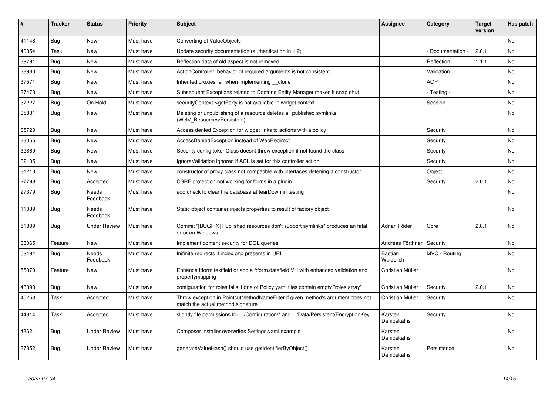| #     | <b>Tracker</b> | <b>Status</b>       | <b>Priority</b> | <b>Subject</b>                                                                                                       | <b>Assignee</b>              | Category        | <b>Target</b><br>version | Has patch |
|-------|----------------|---------------------|-----------------|----------------------------------------------------------------------------------------------------------------------|------------------------------|-----------------|--------------------------|-----------|
| 41148 | Bug            | <b>New</b>          | Must have       | Converting of ValueObjects                                                                                           |                              |                 |                          | <b>No</b> |
| 40854 | Task           | <b>New</b>          | Must have       | Update security documentation (authentication in 1.2)                                                                |                              | Documentation - | 2.0.1                    | No        |
| 39791 | Bug            | <b>New</b>          | Must have       | Reflection data of old aspect is not removed                                                                         |                              | Reflection      | 1.1.1                    | <b>No</b> |
| 38980 | <b>Bug</b>     | <b>New</b>          | Must have       | ActionController: behavior of required arguments is not consistent                                                   |                              | Validation      |                          | No        |
| 37571 | <b>Bug</b>     | <b>New</b>          | Must have       | Inherited proxies fail when implementing clone                                                                       |                              | <b>AOP</b>      |                          | No        |
| 37473 | <b>Bug</b>     | <b>New</b>          | Must have       | Subsequent Exceptions related to Doctrine Entity Manager makes it snap shut                                          |                              | - Testing -     |                          | No        |
| 37227 | Bug            | On Hold             | Must have       | securityContext->getParty is not available in widget context                                                         |                              | Session         |                          | <b>No</b> |
| 35831 | Bug            | New                 | Must have       | Deleting or unpublishing of a resource deletes all published symlinks<br>(Web/_Resources/Persistent)                 |                              |                 |                          | <b>No</b> |
| 35720 | Bug            | <b>New</b>          | Must have       | Access denied Exception for widget links to actions with a policy                                                    |                              | Security        |                          | No        |
| 33055 | <b>Bug</b>     | <b>New</b>          | Must have       | AccessDeniedException instead of WebRedirect                                                                         |                              | Security        |                          | No        |
| 32869 | Bug            | New                 | Must have       | Security config tokenClass doesnt throw exception if not found the class                                             |                              | Security        |                          | No        |
| 32105 | <b>Bug</b>     | <b>New</b>          | Must have       | IgnoreValidation ignored if ACL is set for this controller action                                                    |                              | Security        |                          | <b>No</b> |
| 31210 | Bug            | <b>New</b>          | Must have       | constructor of proxy class not compatible with interfaces defening a constructor                                     |                              | Object          |                          | <b>No</b> |
| 27798 | <b>Bug</b>     | Accepted            | Must have       | CSRF protection not working for forms in a plugin                                                                    |                              | Security        | 2.0.1                    | <b>No</b> |
| 27379 | Bug            | Needs<br>Feedback   | Must have       | add check to clear the database at tearDown in testing                                                               |                              |                 |                          | No        |
| 11039 | Bug            | Needs<br>Feedback   | Must have       | Static object container injects properties to result of factory object                                               |                              |                 |                          | <b>No</b> |
| 51809 | Bug            | <b>Under Review</b> | Must have       | Commit "[BUGFIX] Published resources don't support symlinks" produces an fatal<br>error on Windows                   | Adrian Föder                 | Core            | 2.0.1                    | <b>No</b> |
| 38065 | Feature        | <b>New</b>          | Must have       | Implement content security for DQL queries                                                                           | Andreas Förthner             | Security        |                          | No        |
| 58494 | Bug            | Needs<br>Feedback   | Must have       | Inifinite redirects if index.php presents in URI                                                                     | Bastian<br>Waidelich         | MVC - Routing   |                          | No        |
| 55870 | Feature        | New                 | Must have       | Enhance f:form.textfield or add a f:form.datefield VH with enhanced validation and<br>propertymapping                | Christian Müller             |                 |                          | No        |
| 48898 | Bug            | New                 | Must have       | configuration for roles fails if one of Policy yaml files contain empty "roles array"                                | Christian Müller             | Security        | 2.0.1                    | No        |
| 45253 | Task           | Accepted            | Must have       | Throw exception in PointcutMethodNameFilter if given method's argument does not<br>match the actual method signature | Christian Müller             | Security        |                          | <b>No</b> |
| 44314 | Task           | Accepted            | Must have       | slightly file permissions for /Configuration/* and /Data/Persistent/EncryptionKey                                    | Karsten<br>Dambekalns        | Security        |                          | <b>No</b> |
| 43621 | <b>Bug</b>     | <b>Under Review</b> | Must have       | Composer installer overwrites Settings.yaml.example                                                                  | Karsten<br>Dambekalns        |                 |                          | No        |
| 37352 | <b>Bug</b>     | <b>Under Review</b> | Must have       | generateValueHash() should use getIdentifierByObject()                                                               | Karsten<br><b>Dambekalns</b> | Persistence     |                          | <b>No</b> |